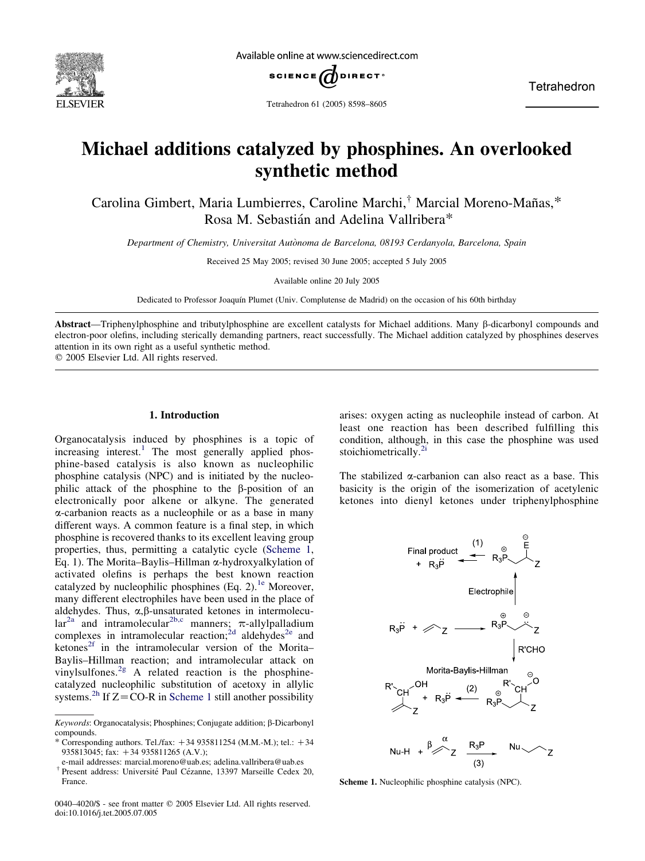

Available online at www.sciencedirect.com



Tetrahedron

Tetrahedron 61 (2005) 8598–8605

# Michael additions catalyzed by phosphines. An overlooked synthetic method

Carolina Gimbert, Maria Lumbierres, Caroline Marchi,<sup>†</sup> Marcial Moreno-Mañas,\* Rosa M. Sebastián and Adelina Vallribera\*

Department of Chemistry, Universitat Autònoma de Barcelona, 08193 Cerdanyola, Barcelona, Spain

Received 25 May 2005; revised 30 June 2005; accepted 5 July 2005

Available online 20 July 2005

Dedicated to Professor Joaquín Plumet (Univ. Complutense de Madrid) on the occasion of his 60th birthday

Abstract—Triphenylphosphine and tributylphosphine are excellent catalysts for Michael additions. Many b-dicarbonyl compounds and electron-poor olefins, including sterically demanding partners, react successfully. The Michael addition catalyzed by phosphines deserves attention in its own right as a useful synthetic method.

 $Q$  2005 Elsevier Ltd. All rights reserved.

## 1. Introduction

Organocatalysis induced by phosphines is a topic of  $increasing$  interest.<sup>[1](#page-6-0)</sup> The most generally applied phosphine-based catalysis is also known as nucleophilic phosphine catalysis (NPC) and is initiated by the nucleophilic attack of the phosphine to the  $\beta$ -position of an electronically poor alkene or alkyne. The generated a-carbanion reacts as a nucleophile or as a base in many different ways. A common feature is a final step, in which phosphine is recovered thanks to its excellent leaving group properties, thus, permitting a catalytic cycle (Scheme 1, Eq. 1). The Morita–Baylis–Hillman  $\alpha$ -hydroxyalkylation of activated olefins is perhaps the best known reaction catalyzed by nucleophilic phosphines (Eq. 2).<sup>[1e](#page-6-0)</sup> Moreover, many different electrophiles have been used in the place of aldehydes. Thus,  $\alpha$ ,  $\beta$ -unsaturated ketones in intermolecu-lar<sup>[2a](#page-6-0)</sup> and intramolecular<sup>[2b,c](#page-6-0)</sup> manners;  $\pi$ -allylpalladium complexes in intramolecular reaction;<sup>[2d](#page-6-0)</sup> aldehydes<sup>[2e](#page-6-0)</sup> and ketones<sup>2f</sup> in the intramolecular version of the Morita– Baylis–Hillman reaction; and intramolecular attack on vinylsulfones.<sup>[2g](#page-6-0)</sup> A related reaction is the phosphinecatalyzed nucleophilic substitution of acetoxy in allylic systems.<sup>[2h](#page-6-0)</sup> If  $Z = \overline{CO} - R$  in Scheme 1 still another possibility arises: oxygen acting as nucleophile instead of carbon. At least one reaction has been described fulfilling this condition, although, in this case the phosphine was used stoichiometrically.<sup>[2i](#page-6-0)</sup>

The stabilized  $\alpha$ -carbanion can also react as a base. This basicity is the origin of the isomerization of acetylenic ketones into dienyl ketones under triphenylphosphine



Scheme 1. Nucleophilic phosphine catalysis (NPC).

Keywords: Organocatalysis; Phosphines; Conjugate addition; b-Dicarbonyl compounds.

<sup>\*</sup> Corresponding authors. Tel./fax:  $+34935811254$  (M.M.-M.); tel.:  $+34$ 935813045; fax:  $+34$  935811265 (A.V.);

e-mail addresses: marcial.moreno@uab.es; adelina.vallribera@uab.es

<sup>&</sup>lt;sup>†</sup> Present address: Université Paul Cézanne, 13397 Marseille Cedex 20, France.

<sup>0040–4020/\$ -</sup> see front matter © 2005 Elsevier Ltd. All rights reserved. doi:10.1016/j.tet.2005.07.005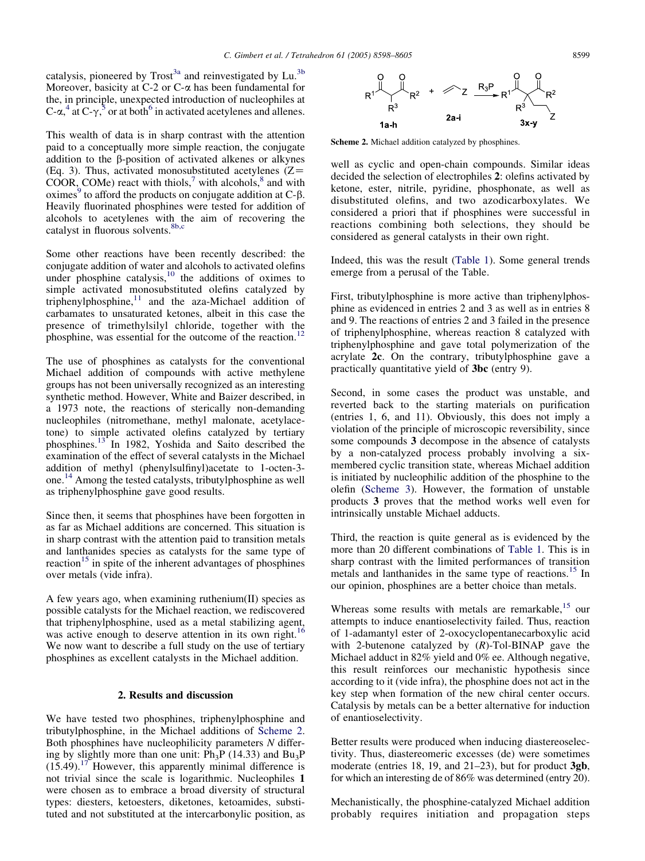<span id="page-1-0"></span>catalysis, pioneered by  $Trost^{3a}$  $Trost^{3a}$  $Trost^{3a}$  and reinvestigated by Lu.<sup>[3b](#page-6-0)</sup> Moreover, basicity at  $C$ -2 or  $C$ - $\alpha$  has been fundamental for the, in principle, unexpected introduction of nucleophiles at C- $\alpha$ ,<sup>[4](#page-6-0)</sup> at C- $\gamma$ ,<sup>[5](#page-6-0)</sup> or at both<sup>[6](#page-7-0)</sup> in activated acetylenes and allenes.

This wealth of data is in sharp contrast with the attention paid to a conceptually more simple reaction, the conjugate addition to the  $\beta$ -position of activated alkenes or alkynes (Eq. 3). Thus, activated monosubstituted acetylenes  $(Z =$  $COOR$ ,  $COMe$ ) react with thiols,<sup>[7](#page-7-0)</sup> with alcohols,<sup>[8](#page-7-0)</sup> and with  $oximes<sup>9</sup>$  $oximes<sup>9</sup>$  $oximes<sup>9</sup>$  to afford the products on conjugate addition at  $C$ - $\beta$ . Heavily fluorinated phosphines were tested for addition of alcohols to acetylenes with the aim of recovering the catalyst in fluorous solvents.<sup>[8b,c](#page-7-0)</sup>

Some other reactions have been recently described: the conjugate addition of water and alcohols to activated olefins under phosphine catalysis, $10$  the additions of oximes to simple activated monosubstituted olefins catalyzed by triphenylphosphine, $11$  and the aza-Michael addition of carbamates to unsaturated ketones, albeit in this case the presence of trimethylsilyl chloride, together with the phosphine, was essential for the outcome of the reaction.<sup>[12](#page-7-0)</sup>

The use of phosphines as catalysts for the conventional Michael addition of compounds with active methylene groups has not been universally recognized as an interesting synthetic method. However, White and Baizer described, in a 1973 note, the reactions of sterically non-demanding nucleophiles (nitromethane, methyl malonate, acetylacetone) to simple activated olefins catalyzed by tertiary phosphines.<sup>[13](#page-7-0)</sup> In 1982, Yoshida and Saito described the examination of the effect of several catalysts in the Michael addition of methyl (phenylsulfinyl)acetate to 1-octen-3 one.[14](#page-7-0) Among the tested catalysts, tributylphosphine as well as triphenylphosphine gave good results.

Since then, it seems that phosphines have been forgotten in as far as Michael additions are concerned. This situation is in sharp contrast with the attention paid to transition metals and lanthanides species as catalysts for the same type of reaction<sup>[15](#page-7-0)</sup> in spite of the inherent advantages of phosphines over metals (vide infra).

A few years ago, when examining ruthenium(II) species as possible catalysts for the Michael reaction, we rediscovered that triphenylphosphine, used as a metal stabilizing agent, was active enough to deserve attention in its own right.<sup>[16](#page-7-0)</sup> We now want to describe a full study on the use of tertiary phosphines as excellent catalysts in the Michael addition.

## 2. Results and discussion

We have tested two phosphines, triphenylphosphine and tributylphosphine, in the Michael additions of Scheme 2. Both phosphines have nucleophilicity parameters N differing by slightly more than one unit:  $Ph_3P$  (14.33) and  $Bu_3P$  $(15.49)$ .<sup>[17](#page-7-0)</sup> However, this apparently minimal difference is not trivial since the scale is logarithmic. Nucleophiles 1 were chosen as to embrace a broad diversity of structural types: diesters, ketoesters, diketones, ketoamides, substituted and not substituted at the intercarbonylic position, as



Scheme 2. Michael addition catalyzed by phosphines.

well as cyclic and open-chain compounds. Similar ideas decided the selection of electrophiles 2: olefins activated by ketone, ester, nitrile, pyridine, phosphonate, as well as disubstituted olefins, and two azodicarboxylates. We considered a priori that if phosphines were successful in reactions combining both selections, they should be considered as general catalysts in their own right.

Indeed, this was the result [\(Table 1\)](#page-2-0). Some general trends emerge from a perusal of the Table.

First, tributylphosphine is more active than triphenylphosphine as evidenced in entries 2 and 3 as well as in entries 8 and 9. The reactions of entries 2 and 3 failed in the presence of triphenylphosphine, whereas reaction 8 catalyzed with triphenylphosphine and gave total polymerization of the acrylate 2c. On the contrary, tributylphosphine gave a practically quantitative yield of 3bc (entry 9).

Second, in some cases the product was unstable, and reverted back to the starting materials on purification (entries 1, 6, and 11). Obviously, this does not imply a violation of the principle of microscopic reversibility, since some compounds 3 decompose in the absence of catalysts by a non-catalyzed process probably involving a sixmembered cyclic transition state, whereas Michael addition is initiated by nucleophilic addition of the phosphine to the olefin [\(Scheme 3](#page-4-0)). However, the formation of unstable products 3 proves that the method works well even for intrinsically unstable Michael adducts.

Third, the reaction is quite general as is evidenced by the more than 20 different combinations of [Table 1](#page-2-0). This is in sharp contrast with the limited performances of transition metals and lanthanides in the same type of reactions.<sup>[15](#page-7-0)</sup> In our opinion, phosphines are a better choice than metals.

Whereas some results with metals are remarkable,  $15$  our attempts to induce enantioselectivity failed. Thus, reaction of 1-adamantyl ester of 2-oxocyclopentanecarboxylic acid with 2-butenone catalyzed by  $(R)$ -Tol-BINAP gave the Michael adduct in 82% yield and 0% ee. Although negative, this result reinforces our mechanistic hypothesis since according to it (vide infra), the phosphine does not act in the key step when formation of the new chiral center occurs. Catalysis by metals can be a better alternative for induction of enantioselectivity.

Better results were produced when inducing diastereoselectivity. Thus, diastereomeric excesses (de) were sometimes moderate (entries 18, 19, and 21–23), but for product 3gb, for which an interesting de of 86% was determined (entry 20).

Mechanistically, the phosphine-catalyzed Michael addition probably requires initiation and propagation steps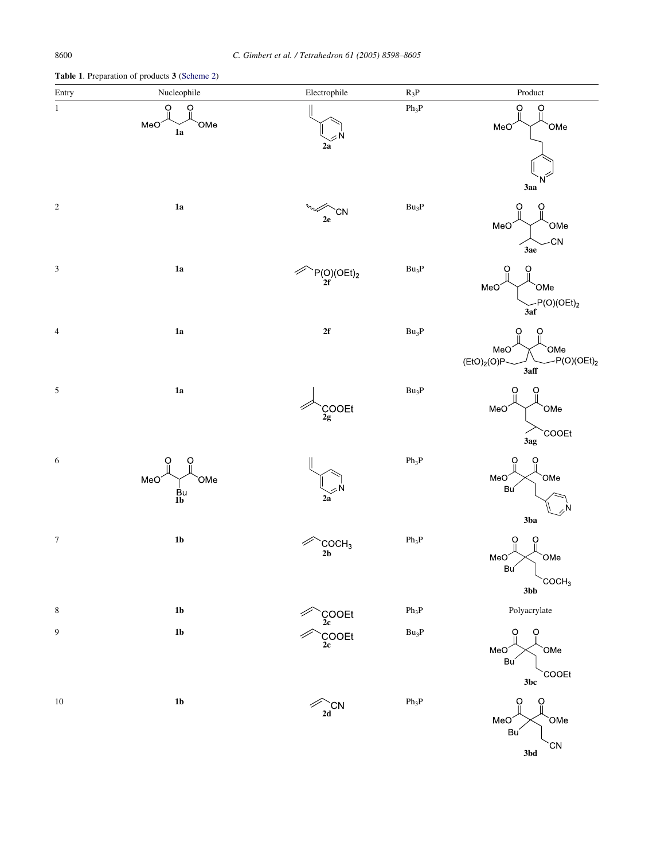<span id="page-2-0"></span>Table 1. Preparation of products 3 ([Scheme 2](#page-1-0))



3bd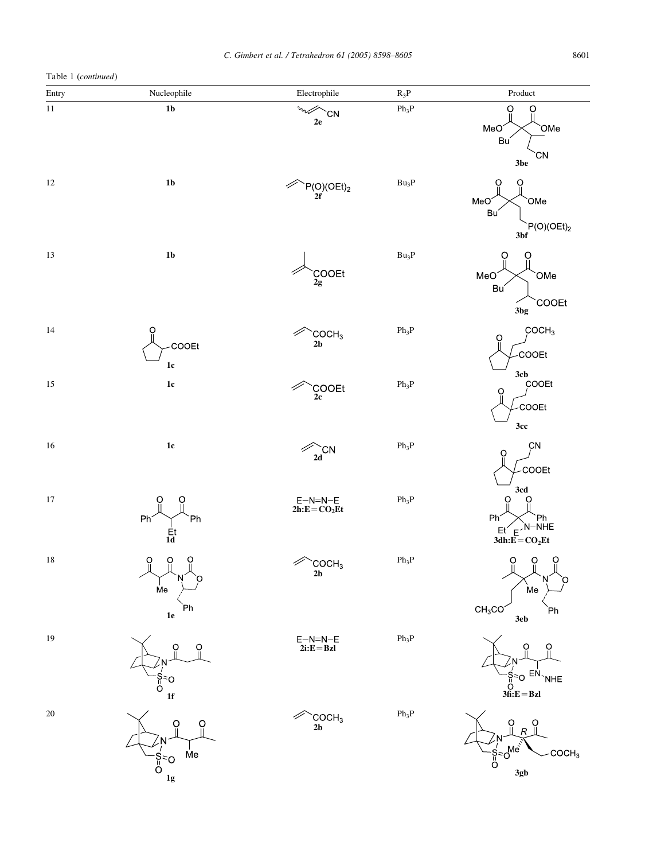Table 1 (continued)

| $1000 + 100$ |                                                                        |                                     |                           |                                                                                                   |
|--------------|------------------------------------------------------------------------|-------------------------------------|---------------------------|---------------------------------------------------------------------------------------------------|
| Entry        | Nucleophile                                                            | Electrophile                        | $R_3P$                    | Product                                                                                           |
| $11\,$       | $1b$                                                                   | $v_{\rm tot}$<br>`CN<br>${\bf 2e}$  | $Ph_3P$                   | O<br>O<br>MeO<br>OMe<br>Bu<br><b>CN</b><br>3be                                                    |
| 12           | $1\mathrm{b}$                                                          | $P(O)(OEt)2$<br>2f                  | $Bu_3P$                   | O<br>O<br>OMe<br>MeO<br>Bu<br>P(O)(OEt) <sub>2</sub><br>3bf                                       |
| 13           | $1b$                                                                   | $COOEt$<br>$2g$                     | $Bu_3P$                   | O<br>MeO<br>`OMe<br>Bu<br><b>COOEt</b><br>3bg                                                     |
| 14           | O<br>COOEt<br>$1\mathrm{c}$                                            | COCH <sub>3</sub><br>$2\mathbf{b}$  | $\mathrm{Ph}_3\mathrm{P}$ | COCH <sub>3</sub><br>$\overline{Q}$<br>COOEt<br>3cb                                               |
| $15\,$       | $1\mathrm{c}$                                                          | COOEt <sub>2c</sub>                 | $Ph_3P$                   | COOEt<br>Ö<br>COOEt<br>3cc                                                                        |
| 16           | $1\mathrm{c}$                                                          | 2d<br>╱                             | $\rm Ph_3P$               | CN<br>Ŏ<br>COOEt<br>3cd                                                                           |
| $17\,$       | Ph <sup>*</sup><br>Ph<br>$\frac{Et}{1d}$                               | $E-N=N-E$<br>$2h$ : $E = CO2Et$     | $Ph_3P$                   | O<br>Ő<br><b>Ph</b><br>$P_h \rightarrow P_h$<br>Et E <sup>N-NHE</sup><br>3dh:E=CO <sub>2</sub> Et |
| $18\,$       | $\Omega$<br>$\overline{O}$<br>$\overline{O}$<br>Me<br>Ph<br>${\bf 1e}$ | COCH <sub>3</sub><br>$2\mathbf{b}$  | $Ph_3P$                   | $\Omega$<br>$\ddot{\mathrm{o}}$<br>$\ddot{\mathbf{C}}$<br>Me<br>CH <sub>3</sub> CO<br>`Ph<br>3eb  |
| 19           | $\Omega$<br>Ő<br>N<br>$S^{\geq}_{\sqcup}$<br>${\bf 1f}$                | $E-N=N-E$<br>$2i:E=BzI$             | $\rm Ph_3P$               | Ö<br>O<br>.N<br>$-\frac{S}{\text{H}}=O$ $\frac{EN}{\text{NHE}}$<br>3fi:E = BzI                    |
| $20\,$       | $\Omega$<br>O<br>Me<br>$\int_{0}^{S_z}$<br>$1\mathrm{g}$               | COCH <sub>3</sub><br>2 <sub>b</sub> | $Ph_3P$                   | Ö<br>O<br>R<br>$\int_{0}^{1.5} e^{-0.06}$<br>COCH <sub>3</sub><br>3gb                             |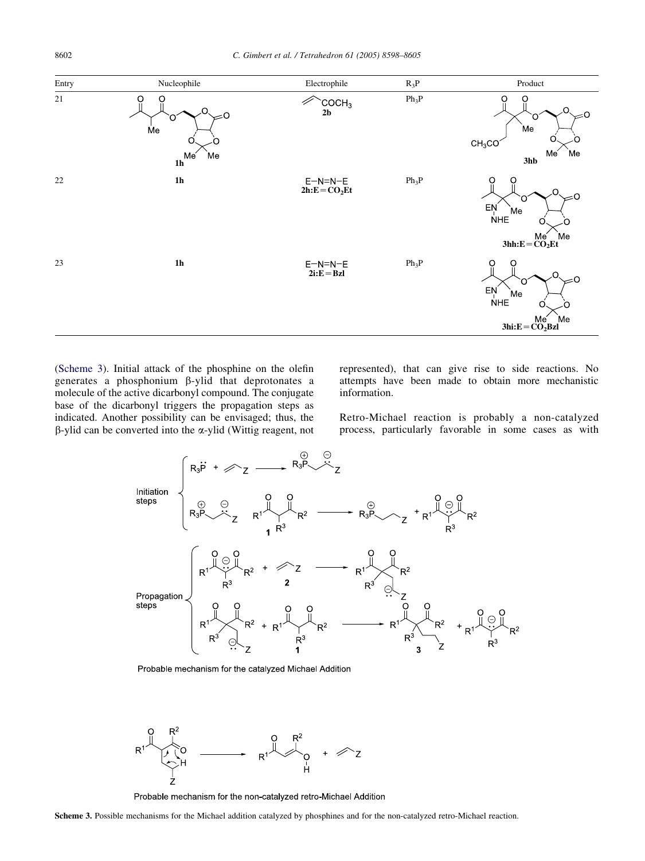<span id="page-4-0"></span>

(Scheme 3). Initial attack of the phosphine on the olefin generates a phosphonium b-ylid that deprotonates a molecule of the active dicarbonyl compound. The conjugate base of the dicarbonyl triggers the propagation steps as indicated. Another possibility can be envisaged; thus, the  $\beta$ -ylid can be converted into the  $\alpha$ -ylid (Wittig reagent, not represented), that can give rise to side reactions. No attempts have been made to obtain more mechanistic information.

Retro-Michael reaction is probably a non-catalyzed process, particularly favorable in some cases as with



Probable mechanism for the catalyzed Michael Addition



Probable mechanism for the non-catalyzed retro-Michael Addition

Scheme 3. Possible mechanisms for the Michael addition catalyzed by phosphines and for the non-catalyzed retro-Michael reaction.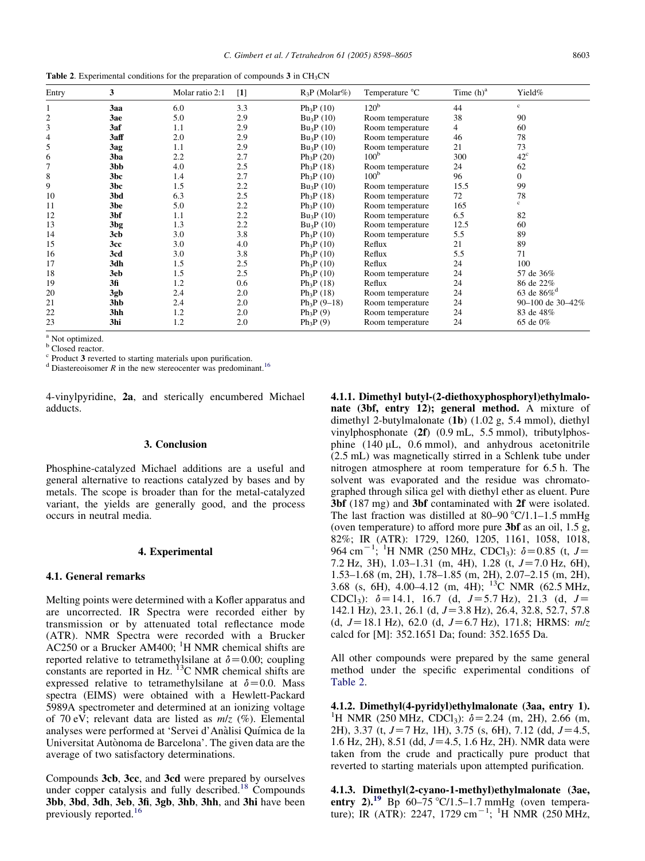| <b>Table 2.</b> Experimental conditions for the preparation of compounds $3$ in CH <sub>3</sub> CN |  |  |
|----------------------------------------------------------------------------------------------------|--|--|
|----------------------------------------------------------------------------------------------------|--|--|

| Entry | 3                | Molar ratio 2:1 | $[1]$ | $R_3P$ (Molar%) | Temperature °C   | Time $(h)^a$ | Yield%                    |
|-------|------------------|-----------------|-------|-----------------|------------------|--------------|---------------------------|
|       | 3aa              | 6.0             | 3.3   | $Ph_3P(10)$     | 120 <sup>b</sup> | 44           | $\rm c$                   |
| 2     | 3ae              | 5.0             | 2.9   | $Bu_3P(10)$     | Room temperature | 38           | 90                        |
| 3     | 3af              | 1.1             | 2.9   | $Bu_3P(10)$     | Room temperature | 4            | 60                        |
| 4     | 3aff             | 2.0             | 2.9   | $Bu_3P(10)$     | Room temperature | 46           | 78                        |
| 5     | 3ag              | 1.1             | 2.9   | $Bu_3P(10)$     | Room temperature | 21           | 73                        |
| 6     | 3 <sub>ba</sub>  | 2.2             | 2.7   | $Ph_3P(20)$     | 100 <sup>b</sup> | 300          | $42^{\circ}$              |
|       | 3 <sub>b</sub> b | 4.0             | 2.5   | $Ph_3P(18)$     | Room temperature | 24           | 62                        |
| 8     | 3bc              | 1.4             | 2.7   | $Ph_3P(10)$     | 100 <sup>b</sup> | 96           | 0                         |
| 9     | 3bc              | 1.5             | 2.2   | $Bu_3P(10)$     | Room temperature | 15.5         | 99                        |
| 10    | 3bd              | 6.3             | 2.5   | $Ph_3P(18)$     | Room temperature | 72           | 78                        |
| 11    | 3be              | 5.0             | 2.2   | $Ph_3P(10)$     | Room temperature | 165          | c                         |
| 12    | 3bf              | 1.1             | 2.2   | $Bu_3P(10)$     | Room temperature | 6.5          | 82                        |
| 13    | 3 <sub>bg</sub>  | 1.3             | 2.2   | $Bu_3P(10)$     | Room temperature | 12.5         | 60                        |
| 14    | 3cb              | 3.0             | 3.8   | $Ph_3P(10)$     | Room temperature | 5.5          | 89                        |
| 15    | 3cc              | 3.0             | 4.0   | $Ph_3P(10)$     | Reflux           | 21           | 89                        |
| 16    | 3cd              | 3.0             | 3.8   | $Ph_3P(10)$     | Reflux           | 5.5          | 71                        |
| 17    | 3dh              | 1.5             | 2.5   | $Ph_3P(10)$     | Reflux           | 24           | 100                       |
| 18    | 3eb              | 1.5             | 2.5   | $Ph_3P(10)$     | Room temperature | 24           | 57 de 36%                 |
| 19    | 3fi              | 1.2             | 0.6   | $Ph_3P(18)$     | Reflux           | 24           | 86 de 22%                 |
| 20    | 3gb              | 2.4             | 2.0   | $Ph_3P(18)$     | Room temperature | 24           | 63 de $86\%$ <sup>d</sup> |
| 21    | 3hb              | 2.4             | 2.0   | $Ph_3P(9-18)$   | Room temperature | 24           | 90-100 de 30-42%          |
| 22    | 3hh              | 1.2             | 2.0   | $Ph_3P(9)$      | Room temperature | 24           | 83 de 48%                 |
| 23    | 3hi              | 1.2             | 2.0   | $Ph_3P(9)$      | Room temperature | 24           | 65 de 0%                  |

<sup>a</sup> Not optimized.

b Closed reactor.<br>
<sup>c</sup> Product 3 reverted to starting materials upon purification.

 $\alpha$ <sup>d</sup> Diastereoisomer R in the new stereocenter was predominant.<sup>[16](#page-7-0)</sup>

4-vinylpyridine, 2a, and sterically encumbered Michael adducts.

### 3. Conclusion

Phosphine-catalyzed Michael additions are a useful and general alternative to reactions catalyzed by bases and by metals. The scope is broader than for the metal-catalyzed variant, the yields are generally good, and the process occurs in neutral media.

#### 4. Experimental

#### 4.1. General remarks

Melting points were determined with a Kofler apparatus and are uncorrected. IR Spectra were recorded either by transmission or by attenuated total reflectance mode (ATR). NMR Spectra were recorded with a Brucker  $AC250$  or a Brucker AM400; <sup>1</sup>H NMR chemical shifts are reported relative to tetramethylsilane at  $\delta$  = 0.00; coupling constants are reported in Hz.  ${}^{13}$ C NMR chemical shifts are expressed relative to tetramethylsilane at  $\delta$ =0.0. Mass spectra (EIMS) were obtained with a Hewlett-Packard 5989A spectrometer and determined at an ionizing voltage of 70 eV; relevant data are listed as  $m/z$  (%). Elemental analyses were performed at 'Servei d'Anàlisi Química de la Universitat Autònoma de Barcelona'. The given data are the average of two satisfactory determinations.

Compounds 3cb, 3cc, and 3cd were prepared by ourselves under copper catalysis and fully described.<sup>[18](#page-7-0)</sup> Compounds 3bb, 3bd, 3dh, 3eb, 3fi, 3gb, 3hb, 3hh, and 3hi have been previously reported.<sup>[16](#page-7-0)</sup>

4.1.1. Dimethyl butyl-(2-diethoxyphosphoryl)ethylmalonate (3bf, entry 12); general method. A mixture of dimethyl 2-butylmalonate (1b) (1.02 g, 5.4 mmol), diethyl vinylphosphonate (2f) (0.9 mL, 5.5 mmol), tributylphosphine  $(140 \mu L, 0.6 \text{ mmol})$ , and anhydrous acetonitrile (2.5 mL) was magnetically stirred in a Schlenk tube under nitrogen atmosphere at room temperature for 6.5 h. The solvent was evaporated and the residue was chromatographed through silica gel with diethyl ether as eluent. Pure 3bf (187 mg) and 3bf contaminated with 2f were isolated. The last fraction was distilled at  $80-90$  °C/1.1–1.5 mmHg (oven temperature) to afford more pure 3bf as an oil, 1.5 g, 82%; IR (ATR): 1729, 1260, 1205, 1161, 1058, 1018, 964 cm<sup>-1</sup>; <sup>1</sup>H NMR (250 MHz, CDCl<sub>3</sub>):  $\delta$ =0.85 (t, J= 7.2 Hz, 3H),  $1.03-1.31$  (m, 4H),  $1.28$  (t,  $J=7.0$  Hz, 6H), 1.53–1.68 (m, 2H), 1.78–1.85 (m, 2H), 2.07–2.15 (m, 2H), 3.68 (s, 6H), 4.00–4.12 (m, 4H); <sup>13</sup>C NMR (62.5 MHz, CDCl<sub>3</sub>):  $\delta$ =14.1, 16.7 (d, J=5.7 Hz), 21.3 (d, J= 142.1 Hz), 23.1, 26.1 (d,  $J=3.8$  Hz), 26.4, 32.8, 52.7, 57.8 (d,  $J=18.1$  Hz), 62.0 (d,  $J=6.7$  Hz), 171.8; HRMS:  $m/z$ calcd for [M]: 352.1651 Da; found: 352.1655 Da.

All other compounds were prepared by the same general method under the specific experimental conditions of Table 2.

4.1.2. Dimethyl(4-pyridyl)ethylmalonate (3aa, entry 1). <sup>1</sup>H NMR (250 MHz, CDCl<sub>3</sub>):  $\delta$  = 2.24 (m, 2H), 2.66 (m, 2H), 3.37 (t,  $J=7$  Hz, 1H), 3.75 (s, 6H), 7.12 (dd,  $J=4.5$ , 1.6 Hz, 2H), 8.51 (dd,  $J=4.5$ , 1.6 Hz, 2H). NMR data were taken from the crude and practically pure product that reverted to starting materials upon attempted purification.

4.1.3. Dimethyl(2-cyano-1-methyl)ethylmalonate (3ae, entry 2).<sup>[19](#page-7-0)</sup> Bp 60–75 °C/1.5–1.7 mmHg (oven temperature); IR (ATR): 2247, 1729 cm<sup>-1</sup>; <sup>1</sup>H NMR (250 MHz,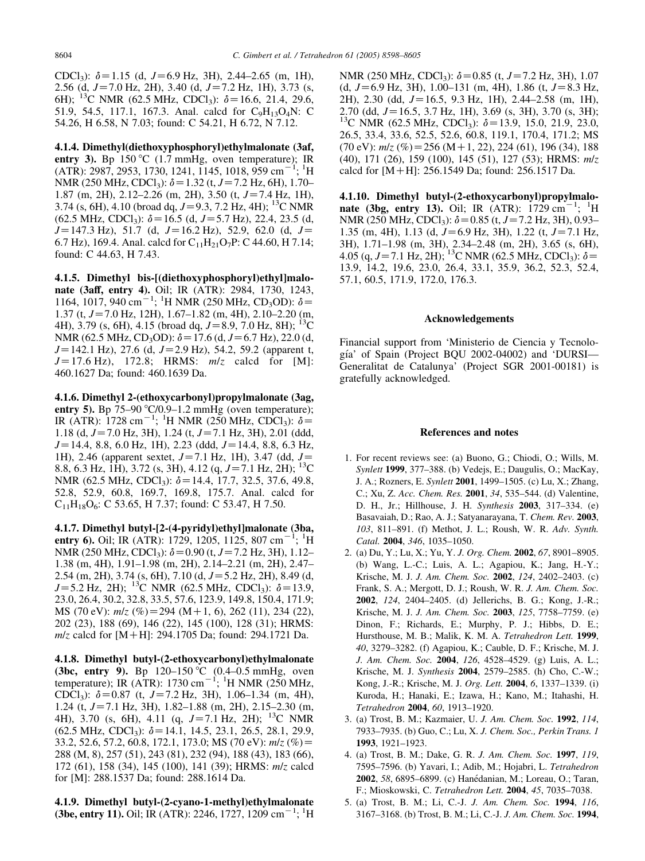<span id="page-6-0"></span>CDCl<sub>3</sub>):  $\delta$ =1.15 (d, J=6.9 Hz, 3H), 2.44–2.65 (m, 1H), 2.56 (d,  $J=7.0$  Hz, 2H), 3.40 (d,  $J=7.2$  Hz, 1H), 3.73 (s, 6H); <sup>13</sup>C NMR (62.5 MHz, CDCl<sub>3</sub>):  $\delta$  = 16.6, 21.4, 29.6, 51.9, 54.5, 117.1, 167.3. Anal. calcd for C9H13O4N: C 54.26, H 6.58, N 7.03; found: C 54.21, H 6.72, N 7.12.

4.1.4. Dimethyl(diethoxyphosphoryl)ethylmalonate (3af, entry 3). Bp  $150^{\circ}$ C (1.7 mmHg, oven temperature); IR  $(ATR): 2987, 2953, 1730, 1241, 1145, 1018, 959$  cm<sup>-1</sup>;<sup>1</sup>H NMR (250 MHz, CDCl<sub>3</sub>):  $\delta$  = 1.32 (t, J = 7.2 Hz, 6H), 1.70– 1.87 (m, 2H), 2.12–2.26 (m, 2H), 3.50 (t,  $J=7.4$  Hz, 1H), 3.74 (s, 6H), 4.10 (broad dq,  $J=9.3$ , 7.2 Hz, 4H); <sup>13</sup>C NMR  $(62.5 \text{ MHz}, \text{CDCl}_3)$ :  $\delta = 16.5 \text{ (d, } J = 5.7 \text{ Hz})$ , 22.4, 23.5 (d,  $J=147.3$  Hz), 51.7 (d,  $J=16.2$  Hz), 52.9, 62.0 (d,  $J=$ 6.7 Hz), 169.4. Anal. calcd for  $C_{11}H_{21}O_7P$ : C 44.60, H 7.14; found: C 44.63, H 7.43.

4.1.5. Dimethyl bis-[(diethoxyphosphoryl)ethyl]malonate (3aff, entry 4). Oil; IR (ATR): 2984, 1730, 1243, 1164, 1017, 940 cm<sup>-1</sup>; <sup>1</sup>H NMR (250 MHz, CD<sub>3</sub>OD):  $\delta$ = 1.37 (t,  $J=7.0$  Hz, 12H), 1.67–1.82 (m, 4H), 2.10–2.20 (m, 4H), 3.79 (s, 6H), 4.15 (broad dq,  $J=8.9, 7.0$  Hz, 8H); <sup>13</sup>C NMR (62.5 MHz, CD<sub>3</sub>OD):  $\delta$  = 17.6 (d, J = 6.7 Hz), 22.0 (d,  $J=142.1$  Hz), 27.6 (d,  $J=2.9$  Hz), 54.2, 59.2 (apparent t,  $J=17.6$  Hz), 172.8; HRMS:  $m/z$  calcd for [M]: 460.1627 Da; found: 460.1639 Da.

4.1.6. Dimethyl 2-(ethoxycarbonyl)propylmalonate (3ag, entry 5). Bp 75–90  $\degree$ C/0.9–1.2 mmHg (oven temperature); IR (ATR): 1728 cm<sup>-1</sup>; <sup>1</sup>H NMR (250 MHz, CDCl<sub>3</sub>):  $\delta$ = 1.18 (d,  $J=7.0$  Hz, 3H), 1.24 (t,  $J=7.1$  Hz, 3H), 2.01 (ddd,  $J=14.4$ , 8.8, 6.0 Hz, 1H), 2.23 (ddd,  $J=14.4$ , 8.8, 6.3 Hz, 1H), 2.46 (apparent sextet,  $J=7.1$  Hz, 1H), 3.47 (dd,  $J=$ 8.8, 6.3 Hz, 1H), 3.72 (s, 3H), 4.12 (q,  $J=7.1$  Hz, 2H); <sup>13</sup>C NMR (62.5 MHz, CDCl<sub>3</sub>):  $\delta$  = 14.4, 17.7, 32.5, 37.6, 49.8, 52.8, 52.9, 60.8, 169.7, 169.8, 175.7. Anal. calcd for  $C_{11}H_{18}O_6$ : C 53.65, H 7.37; found: C 53.47, H 7.50.

4.1.7. Dimethyl butyl-[2-(4-pyridyl)ethyl]malonate (3ba, entry 6). Oil; IR (ATR): 1729, 1205, 1125, 807 cm<sup>-1</sup>; <sup>1</sup>H NMR (250 MHz, CDCl<sub>3</sub>):  $\delta$  = 0.90 (t, J = 7.2 Hz, 3H), 1.12– 1.38 (m, 4H), 1.91–1.98 (m, 2H), 2.14–2.21 (m, 2H), 2.47– 2.54 (m, 2H), 3.74 (s, 6H), 7.10 (d,  $J=5.2$  Hz, 2H), 8.49 (d,  $J=5.2$  Hz, 2H); <sup>13</sup>C NMR (62.5 MHz, CDCl<sub>3</sub>);  $\delta=13.9$ , 23.0, 26.4, 30.2, 32.8, 33.5, 57.6, 123.9, 149.8, 150.4, 171.9; MS (70 eV):  $m/z$  (%)=294 (M+1, 6), 262 (11), 234 (22), 202 (23), 188 (69), 146 (22), 145 (100), 128 (31); HRMS:  $m/z$  calcd for [M+H]: 294.1705 Da; found: 294.1721 Da.

4.1.8. Dimethyl butyl-(2-ethoxycarbonyl)ethylmalonate (3bc, entry 9). Bp  $120-150 \degree C$  (0.4–0.5 mmHg, oven temperature); IR (ATR): 1730 cm<sup>-1</sup>; <sup>1</sup>H NMR (250 MHz, CDCl<sub>3</sub>):  $\delta$ =0.87 (t, J=7.2 Hz, 3H), 1.06–1.34 (m, 4H), 1.24 (t,  $J=7.1$  Hz, 3H), 1.82–1.88 (m, 2H), 2.15–2.30 (m, 4H), 3.70 (s, 6H), 4.11 (q,  $J=7.1$  Hz, 2H); <sup>13</sup>C NMR  $(62.5 \text{ MHz}, \text{CDCl}_3)$ :  $\delta$  = 14.1, 14.5, 23.1, 26.5, 28.1, 29.9, 33.2, 52.6, 57.2, 60.8, 172.1, 173.0; MS (70 eV):  $m/z$  (%)= 288 (M, 8), 257 (51), 243 (81), 232 (94), 188 (43), 183 (66), 172 (61), 158 (34), 145 (100), 141 (39); HRMS: m/z calcd for [M]: 288.1537 Da; found: 288.1614 Da.

4.1.9. Dimethyl butyl-(2-cyano-1-methyl)ethylmalonate (3be, entry 11). Oil; IR (ATR): 2246, 1727, 1209 cm<sup>-1</sup>; <sup>1</sup>H

NMR (250 MHz, CDCl<sub>3</sub>):  $\delta$  = 0.85 (t, J = 7.2 Hz, 3H), 1.07 (d,  $J=6.9$  Hz, 3H), 1.00–131 (m, 4H), 1.86 (t,  $J=8.3$  Hz, 2H), 2.30 (dd,  $J=16.5$ , 9.3 Hz, 1H), 2.44–2.58 (m, 1H), 2.70 (dd,  $J=16.5$ , 3.7 Hz, 1H), 3.69 (s, 3H), 3.70 (s, 3H); <sup>13</sup>C NMR (62.5 MHz, CDCl<sub>3</sub>):  $\delta$  = 13.9, 15.0, 21.9, 23.0, 26.5, 33.4, 33.6, 52.5, 52.6, 60.8, 119.1, 170.4, 171.2; MS  $(70 \text{ eV})$ :  $m/z$  (%) = 256 (M + 1, 22), 224 (61), 196 (34), 188 (40), 171 (26), 159 (100), 145 (51), 127 (53); HRMS: m/z calcd for  $[M+H]$ : 256.1549 Da; found: 256.1517 Da.

4.1.10. Dimethyl butyl-(2-ethoxycarbonyl)propylmalonate (3bg, entry 13). Oil; IR  $(ATR)$ : 1729 cm<sup>-1</sup>; <sup>1</sup>H NMR (250 MHz, CDCl<sub>3</sub>):  $\delta$  = 0.85 (t, J = 7.2 Hz, 3H), 0.93– 1.35 (m, 4H), 1.13 (d,  $J=6.9$  Hz, 3H), 1.22 (t,  $J=7.1$  Hz, 3H), 1.71–1.98 (m, 3H), 2.34–2.48 (m, 2H), 3.65 (s, 6H), 4.05 (q,  $J=7.1$  Hz, 2H); <sup>13</sup>C NMR (62.5 MHz, CDCl<sub>3</sub>):  $\delta=$ 13.9, 14.2, 19.6, 23.0, 26.4, 33.1, 35.9, 36.2, 52.3, 52.4, 57.1, 60.5, 171.9, 172.0, 176.3.

#### Acknowledgements

Financial support from 'Ministerio de Ciencia y Tecnología' of Spain (Project BQU 2002-04002) and 'DURSI-Generalitat de Catalunya' (Project SGR 2001-00181) is gratefully acknowledged.

#### References and notes

- 1. For recent reviews see: (a) Buono, G.; Chiodi, O.; Wills, M. Synlett 1999, 377–388. (b) Vedejs, E.; Daugulis, O.; MacKay, J. A.; Rozners, E. Synlett 2001, 1499–1505. (c) Lu, X.; Zhang, C.; Xu, Z. Acc. Chem. Res. 2001, 34, 535–544. (d) Valentine, D. H., Jr.; Hillhouse, J. H. Synthesis 2003, 317–334. (e) Basavaiah, D.; Rao, A. J.; Satyanarayana, T. Chem. Rev. 2003, 103, 811–891. (f) Methot, J. L.; Roush, W. R. Adv. Synth. Catal. 2004, 346, 1035–1050.
- 2. (a) Du, Y.; Lu, X.; Yu, Y. J. Org. Chem. 2002, 67, 8901–8905. (b) Wang, L.-C.; Luis, A. L.; Agapiou, K.; Jang, H.-Y.; Krische, M. J. J. Am. Chem. Soc. 2002, 124, 2402–2403. (c) Frank, S. A.; Mergott, D. J.; Roush, W. R. J. Am. Chem. Soc. 2002, 124, 2404–2405. (d) Jellerichs, B. G.; Kong, J.-R.; Krische, M. J. J. Am. Chem. Soc. 2003, 125, 7758–7759. (e) Dinon, F.; Richards, E.; Murphy, P. J.; Hibbs, D. E.; Hursthouse, M. B.; Malik, K. M. A. Tetrahedron Lett. 1999, 40, 3279–3282. (f) Agapiou, K.; Cauble, D. F.; Krische, M. J. J. Am. Chem. Soc. 2004, 126, 4528–4529. (g) Luis, A. L.; Krische, M. J. Synthesis 2004, 2579–2585. (h) Cho, C.-W.; Kong, J.-R.; Krische, M. J. Org. Lett. 2004, 6, 1337–1339. (i) Kuroda, H.; Hanaki, E.; Izawa, H.; Kano, M.; Itahashi, H. Tetrahedron 2004, 60, 1913–1920.
- 3. (a) Trost, B. M.; Kazmaier, U. J. Am. Chem. Soc. 1992, 114, 7933–7935. (b) Guo, C.; Lu, X. J. Chem. Soc., Perkin Trans. 1 1993, 1921–1923.
- 4. (a) Trost, B. M.; Dake, G. R. J. Am. Chem. Soc. 1997, 119, 7595–7596. (b) Yavari, I.; Adib, M.; Hojabri, L. Tetrahedron 2002, 58, 6895-6899. (c) Hanédanian, M.; Loreau, O.; Taran, F.; Mioskowski, C. Tetrahedron Lett. 2004, 45, 7035–7038.
- 5. (a) Trost, B. M.; Li, C.-J. J. Am. Chem. Soc. 1994, 116, 3167–3168. (b) Trost, B. M.; Li, C.-J. J. Am. Chem. Soc. 1994,